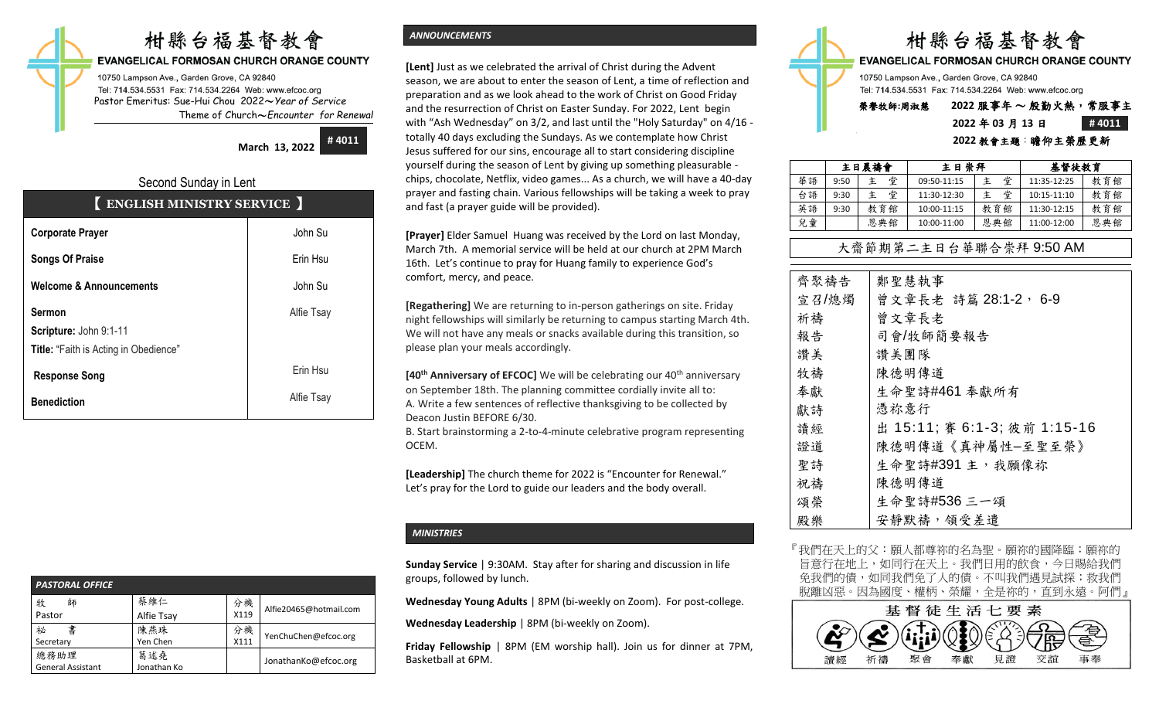# 柑縣台福基督教會

#### **EVANGELICAL FORMOSAN CHURCH ORANGE COUNTY**

10750 Lampson Ave., Garden Grove, CA 92840 Tel: 714.534.5531 Fax: 714.534.2264 Web: www.efcoc.org Pastor Emeritus: Sue-Hui Chou 2022〜*Year of Service* Theme of Church〜*Encounter for Renewal*

> **March 13, 2022 # 4011**

## Second Sunday in Lent 【 **ENGLISH MINISTRY SERVICE** 】

| <b>Corporate Prayer</b>                                                                 | John Su    |
|-----------------------------------------------------------------------------------------|------------|
| <b>Songs Of Praise</b>                                                                  | Erin Hsu   |
| <b>Welcome &amp; Announcements</b>                                                      | John Su    |
| <b>Sermon</b><br>Scripture: John 9:1-11<br><b>Title:</b> "Faith is Acting in Obedience" | Alfie Tsay |
| <b>Response Song</b>                                                                    | Erin Hsu   |
| <b>Benediction</b>                                                                      | Alfie Tsay |

| <b>PASTORAL OFFICE</b>           |                    |            |                        |  |  |  |
|----------------------------------|--------------------|------------|------------------------|--|--|--|
| 牧<br>師<br>Pastor                 | 蔡維仁<br>Alfie Tsay  | 分機<br>X119 | Alfie20465@hotmail.com |  |  |  |
| 書<br>祕<br>Secretary              | 陳燕珠<br>Yen Chen    | 分機<br>X111 | YenChuChen@efcoc.org   |  |  |  |
| 總務助理<br><b>General Assistant</b> | 葛述堯<br>Jonathan Ko |            | JonathanKo@efcoc.org   |  |  |  |

## *ANNOUNCEMENTS*

**[Lent]** Just as we celebrated the arrival of Christ during the Advent season, we are about to enter the season of Lent, a time of reflection and preparation and as we look ahead to the work of Christ on Good Friday and the resurrection of Christ on Easter Sunday. For 2022, Lent begin with "Ash Wednesday" on 3/2, and last until the "Holy Saturday" on 4/16 totally 40 days excluding the Sundays. As we contemplate how Christ Jesus suffered for our sins, encourage all to start considering discipline yourself during the season of Lent by giving up something pleasurable chips, chocolate, Netflix, video games... As a church, we will have a 40-day prayer and fasting chain. Various fellowships will be taking a week to pray and fast (a prayer guide will be provided).

**[Prayer]** Elder Samuel Huang was received by the Lord on last Monday, March 7th. A memorial service will be held at our church at 2PM March 16th. Let's continue to pray for Huang family to experience God's comfort, mercy, and peace.

**[Regathering]** We are returning to in-person gatherings on site. Friday night fellowships will similarly be returning to campus starting March 4th. We will not have any meals or snacks available during this transition, so please plan your meals accordingly.

**[40<sup>th</sup> Anniversary of EFCOC]** We will be celebrating our 40<sup>th</sup> anniversary on September 18th. The planning committee cordially invite all to: A. Write a few sentences of reflective thanksgiving to be collected by Deacon Justin BEFORE 6/30.

B. Start brainstorming a 2-to-4-minute celebrative program representing OCEM.

**[Leadership]** The church theme for 2022 is "Encounter for Renewal." Let's pray for the Lord to guide our leaders and the body overall.

## *MINISTRIES*

**Sunday Service** | 9:30AM. Stay after for sharing and discussion in life groups, followed by lunch.

**Wednesday Young Adults** | 8PM (bi-weekly on Zoom). For post-college.

**Wednesday Leadership** | 8PM (bi-weekly on Zoom).

**Friday Fellowship** | 8PM (EM worship hall). Join us for dinner at 7PM, Basketball at 6PM.



**EVANGELICAL FORMOSAN CHURCH ORANGE COUNTY** 

10750 Lampson Ave., Garden Grove, CA 92840 Tel: 714.534.5531 Fax: 714.534.2264 Web: www.efcoc.org

## 榮譽牧師**:**周淑慧 **2022** 服事年 〜 殷勤火熱,常服事主 **2022** 年 **03** 月 **13** 日 **# 4011**

#### **2022** 教會主題:瞻仰主榮歷更新

|    | 主日晨禱會 |        | 主日崇拜        |     | 基督徒教育       |     |
|----|-------|--------|-------------|-----|-------------|-----|
| 華語 | 9:50  | 堂<br>主 | 09:50-11:15 | 堂   | 11:35-12:25 | 教育館 |
| 台語 | 9:30  | 堂<br>主 | 11:30-12:30 | 堂   | 10:15-11:10 | 教育館 |
| 英語 | 9:30  | 教育館    | 10:00-11:15 | 教育館 | 11:30-12:15 | 教育館 |
| 兒童 |       | 恩典館    | 10:00-11:00 | 恩典館 | 11:00-12:00 | 恩典館 |

## 大齋節期第二主日台華聯合崇拜 9:50 AM

| 齊聚禱告  | 鄭聖慧執事                        |
|-------|------------------------------|
| 宣召/熄燭 | 曾文章長老 詩篇 28:1-2, 6-9         |
| 祈禱    | 曾文章長老                        |
| 報告    | 司會/牧師簡要報告                    |
| 讚美    | 讚美團隊                         |
| 牧禱    | 陳德明傳道                        |
| 奉獻    | 生命聖詩#461 奉獻所有                |
| 獻詩    | 憑祢意行                         |
| 讀經    | 出 15:11; 賽 6:1-3; 彼前 1:15-16 |
| 證道    | 陳德明傳道《真神屬性-至聖至榮》             |
| 聖詩    | 生命聖詩#391 主, 我願像祢             |
| 祝禱    | 陳德明傳道                        |
| 頌榮    | 生命聖詩#536 三一頌                 |
| 殿樂    | 安靜默禱, 領受差遣                   |

『我們在天上的父:願人都尊祢的名為聖。願祢的國降臨;願祢的 旨意行在地上,如同行在天上。我們日用的飲食,今日賜給我們 免我們的債,如同我們免了人的債。不叫我們遇見試探;救我們 脫離凶惡。因為國度、權柄、榮耀,全是祢的,直到永遠。阿們